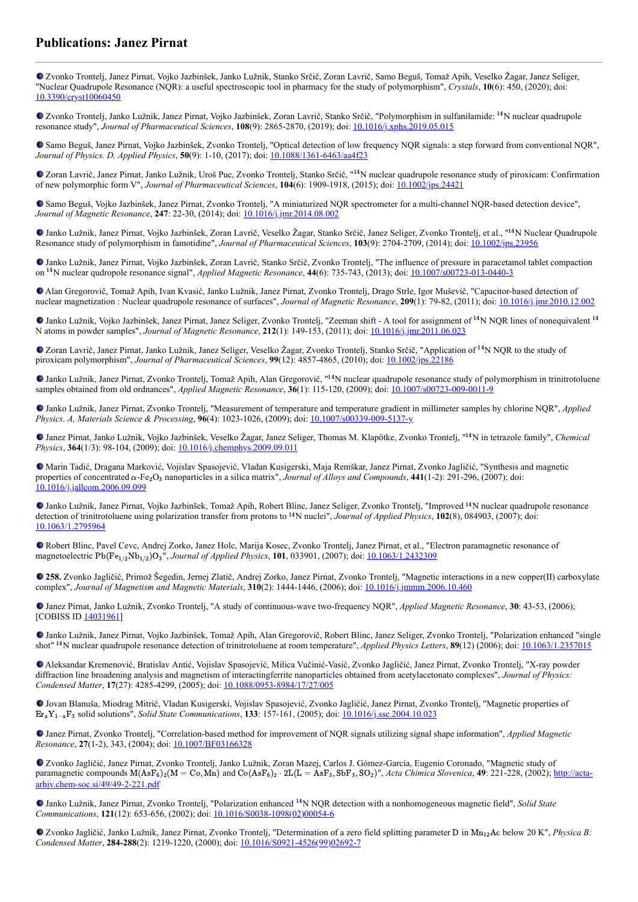## **Publications: Janez Pirnat**

Zvonko Trontelj, Janez Pirnat, Vojko Jazbinšek, Janko Lužnik, Stanko Srčič, Zoran Lavrič, Samo Beguš, Tomaž Apih, Veselko Žagar, Janez Seliger, "Nuclear Quadrupole Resonance (NQR): a useful spectroscopic tool in pharmacy for the study of polymorphism", *Crystals*, **10**(6): 450, (2020); doi: [10.3390/cryst10060450](https://dx.doi.org/10.3390/cryst10060450)

Zvonko Trontelj, Janko Lužnik, Janez Pirnat, Vojko Jazbinšek, Zoran Lavrič, Stanko Srčič, "Polymorphism in sulfanilamide: <sup>14</sup>N nuclear quadrupole resonance study", *Journal of Pharmaceutical Sciences*, **108**(9): 2865-2870, (2019); doi: [10.1016/j.xphs.2019.05.015](https://dx.doi.org/10.1016/j.xphs.2019.05.015)

Samo Beguš, Janez Pirnat, Vojko Jazbinšek, Zvonko Trontelj, "Optical detection of low frequency NQR signals: a step forward from conventional NQR", *Journal of Physics. D, Applied Physics*, **50**(9): 1-10, (2017); doi: [10.1088/1361-6463/aa4f23](https://dx.doi.org/10.1088/1361-6463/aa4f23)

Zoran Lavrič, Janez Pirnat, Janko Lužnik, Uroš Puc, Zvonko Trontelj, Stanko Srčič, "<sup>14</sup>N nuclear quadrupole resonance study of piroxicam: Confirmation of new polymorphic form V", *Journal of Pharmaceutical Sciences*, **104**(6): 1909-1918, (2015); doi: [10.1002/jps.24421](https://dx.doi.org/10.1002/jps.24421)

Samo Beguš, Vojko Jazbinšek, Janez Pirnat, Zvonko Trontelj, "A miniaturized NQR spectrometer for a multi-channel NQR-based detection device", *Journal of Magnetic Resonance*, **247**: 22-30, (2014); doi: [10.1016/j.jmr.2014.08.002](https://dx.doi.org/10.1016/j.jmr.2014.08.002)

Janko Lužnik, Janez Pirnat, Vojko Jazbinšek, Zoran Lavrič, Veselko Žagar, Stanko Srčič, Janez Seliger, Zvonko Trontelj, et al., "<sup>14</sup>N Nuclear Quadrupole Resonance study of polymorphism in famotidine", *Journal of Pharmaceutical Sciences*, **103**(9): 2704-2709, (2014); doi: [10.1002/jps.23956](http://dx.doi.org/10.1002/jps.23956)

Janko Lužnik, Janez Pirnat, Vojko Jazbinšek, Zoran Lavrič, Stanko Srčič, Zvonko Trontelj, "The influence of pressure in paracetamol tablet compaction on <sup>14</sup>N nuclear qudropole resonance signal", *Applied Magnetic Resonance*, **44**(6): 735-743, (2013); doi: [10.1007/s00723-013-0440-3](https://dx.doi.org/10.1007/s00723-013-0440-3)

Alan Gregorovič, Tomaž Apih, Ivan Kvasić, Janko Lužnik, Janez Pirnat, Zvonko Trontelj, Drago Strle, Igor Muševič, "Capacitor-based detection of nuclear magnetization : Nuclear quadrupole resonance of surfaces", *Journal of Magnetic Resonance*, **209**(1): 79-82, (2011); doi: [10.1016/j.jmr.2010.12.002](https://doi.org/10.1016/j.jmr.2010.12.002)

Janko Lužnik, Vojko Jazbinšek, Janez Pirnat, Janez Seliger, Zvonko Trontelj, "Zeeman shift - A tool for assignment of <sup>14</sup>N NQR lines of nonequivalent <sup>14</sup> N atoms in powder samples", *Journal of Magnetic Resonance*, **212**(1): 149-153, (2011); doi: [10.1016/j.jmr.2011.06.023](http://dx.doi.org/10.1016/j.jmr.2011.06.023)

Zoran Lavrič, Janez Pirnat, Janko Lužnik, Janez Seliger, Veselko Žagar, Zvonko Trontelj, Stanko Srčič, "Application of <sup>14</sup>N NQR to the study of piroxicam polymorphism", *Journal of Pharmaceutical Sciences*, **99**(12): 4857-4865, (2010); doi: [10.1002/jps.22186](https://dx.doi.org/10.1002/jps.22186)

Janko Lužnik, Janez Pirnat, Zvonko Trontelj, Tomaž Apih, Alan Gregorovič, "<sup>14</sup>N nuclear quadrupole resonance study of polymorphism in trinitrotoluene samples obtained from old ordnances", *Applied Magnetic Resonance*, **36**(1): 115-120, (2009); doi: [10.1007/s00723-009-0011-9](https://dx.doi.org/10.1007/s00723-009-0011-9)

Janko Lužnik, Janez Pirnat, Zvonko Trontelj, "Measurement of temperature and temperature gradient in millimeter samples by chlorine NQR", *Applied Physics. A, Materials Science & Processing*, **96**(4): 1023-1026, (2009); doi: [10.1007/s00339-009-5137-y](http://dx.doi.org/10.1007/s00339-009-5137-y)

Janez Pirnat, Janko Lužnik, Vojko Jazbinšek, Veselko Žagar, Janez Seliger, Thomas M. Klapötke, Zvonko Trontelj, "<sup>14</sup>N in tetrazole family", *Chemical Physics*, **364**(1/3): 98-104, (2009); doi: [10.1016/j.chemphys.2009.09.011](https://dx.doi.org/10.1016/j.chemphys.2009.09.011)

Marin Tadić, Dragana Marković, Vojislav Spasojević, Vladan Kusigerski, Maja Remškar, Janez Pirnat, Zvonko Jagličić, "Synthesis and magnetic properties of concentrated α-Fe<sub>2</sub>O<sub>3</sub> nanoparticles in a silica matrix", *Journal of Alloys and Compounds*, 441(1-2): 291-296, (2007); doi: [10.1016/j.jallcom.2006.09.099](https://doi.org/10.1016/j.jallcom.2006.09.099)

Janko Lužnik, Janez Pirnat, Vojko Jazbinšek, Tomaž Apih, Robert Blinc, Janez Seliger, Zvonko Trontelj, "Improved <sup>14</sup>N nuclear quadrupole resonance detection of trinitrotoluene using polarization transfer from protons to <sup>14</sup>N nuclei", *Journal of Applied Physics*, **102**(8), 084903, (2007); doi: [10.1063/1.2795964](https://dx.doi.org/10.1063/1.2795964)

Robert Blinc, Pavel Cevc, Andrej Zorko, Janez Holc, Marija Kosec, Zvonko Trontelj, Janez Pirnat, et al., "Electron paramagnetic resonance of magnetoelectric Pb(Fe<sub>1/2</sub>Nb<sub>1/2</sub>)O<sub>3</sub>", *Journal of Applied Physics*, **101**, 033901, (2007); doi: <u>[10.1063/1.2432309](http://dx.doi.org/10.1063/1.2432309)</u>

**258.** Zvonko Jagličić, Primož Šegedin, Jernej Zlatič, Andrej Zorko, Janez Pirnat, Zvonko Trontelj, "Magnetic interactions in a new copper(II) carboxylate complex", *Journal of Magnetism and Magnetic Materials*, **310**(2): 1444-1446, (2006); doi: [10.1016/j.jmmm.2006.10.460](https://dx.doi.org/10.1016/j.jmmm.2006.10.460)

Janez Pirnat, Janko Lužnik, Zvonko Trontelj, "A study of continuous-wave two-frequency NQR", *Applied Magnetic Resonance*, **30**: 43-53, (2006); [COBISS ID [14031961](https://plus.si.cobiss.net/opac7/bib/14031961?lang=en)]

Janko Lužnik, Janez Pirnat, Vojko Jazbinšek, Tomaž Apih, Alan Gregorovič, Robert Blinc, Janez Seliger, Zvonko Trontelj, "Polarization enhanced "single shot"<sup>14</sup>N nuclear quadrupole resonance detection of trinitrotoluene at room temperature", *Applied Physics Letters*, **89**(12) (2006); doi: [10.1063/1.2357015](https://doi.org/10.1063/1.2357015)

Aleksandar Kremenović, Bratislav Antić, Vojislav Spasojević, Milica Vučinić-Vasić, Zvonko Jagličić, Janez Pirnat, Zvonko Trontelj, "X-ray powder diffraction line broadening analysis and magnetism of interactingferrite nanoparticles obtained from acetylacetonato complexes", *Journal of Physics: Condensed Matter*, **17**(27): 4285-4299, (2005); doi: [10.1088/0953-8984/17/27/005](https://doi.org/10.1088/0953-8984/17/27/005)

Jovan Blanuša, Miodrag Mitrić, Vladan Kusigerski, Vojislav Spasojević, Zvonko Jagličić, Janez Pirnat, Zvonko Trontelj, "Magnetic properties of Er<sub>x</sub>Y<sub>1-x</sub>F<sub>3</sub> solid solutions", *Solid State Communications*, **133**: 157-161, (2005); doi: <u>[10.1016/j.ssc.2004.10.023](https://doi.org/10.1016/j.ssc.2004.10.023)</u>

Janez Pirnat, Zvonko Trontelj, "Correlation-based method for improvement of NQR signals utilizing signal shape information", *Applied Magnetic Resonance*, **27**(1-2), 343, (2004); doi: [10.1007/BF03166328](https://doi.org/10.1007/BF03166328)

Zvonko Jagličić, Janez Pirnat, Zvonko Trontelj, Janko Lužnik, Zoran Mazej, Carlos J. Gómez-García, Eugenio Coronado, "Magnetic study of paramagnetic compounds  $M(AsF_6)_{2}(M = Co, Mn)$  and  $Co(AsF_6)_{2} \cdot 2L(L = AsF_3, SbF_3, SO_2)^{n}$ , *Acta Chimica Slovenica*, **49**: 221-228, (2002); http://actaarhiv.chem-soc.si/49/49-2-221.pdf

Janko Lužnik, Janez Pirnat, Zvonko Trontelj, "Polarization enhanced <sup>14</sup>N NQR detection with a nonhomogeneous magnetic field", *Solid State Communications*, **121**(12): 653-656, (2002); doi: [10.1016/S0038-1098\(02\)00054-6](https://doi.org/10.1016/S0038-1098(02)00054-6)

Zvonko Jagličić, Janko Lužnik, Janez Pirnat, Zvonko Trontelj, "Determination of a zero field splitting parameter D in Mn<sub>12</sub>Ac below 20 K", *Physica B*: *Condensed Matter*, **284-288**(2): 1219-1220, (2000); doi: [10.1016/S0921-4526\(99\)02692-7](https://doi.org/10.1016/S0921-4526(99)02692-7)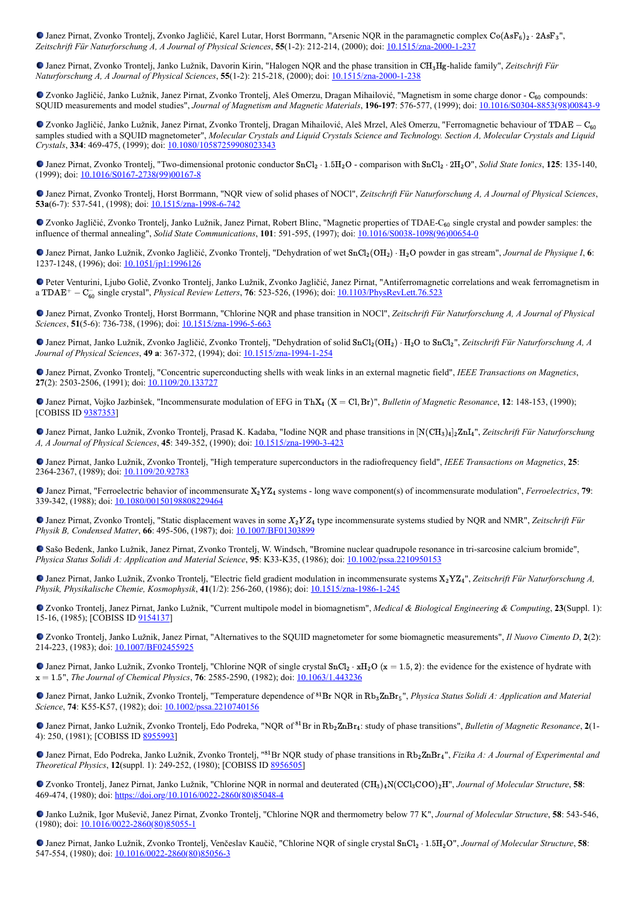Janez Pirnat, Zvonko Trontelj, Zvonko Jagličić, Karel Lutar, Horst Borrmann, "Arsenic NQR in the paramagnetic complex  $Co(AsF_6)_2 \cdot 2AsF_3$ ", *Zeitschrift Für Naturforschung A, A Journal of Physical Sciences*, **55**(1-2): 212-214, (2000); doi: [10.1515/zna-2000-1-237](https://doi.org/10.1515/zna-2000-1-237)

Janez Pirnat, Zvonko Trontelj, Janko Lužnik, Davorin Kirin, "Halogen NQR and the phase transition in CH<sub>3</sub>Hg-halide family", Zeitschrift Für *Naturforschung A, A Journal of Physical Sciences*, **55**(1-2): 215-218, (2000); doi: [10.1515/zna-2000-1-238](https://doi.org/10.1515/zna-2000-1-238)

Zvonko Jagličić, Janko Lužnik, Janez Pirnat, Zvonko Trontelj, Aleš Omerzu, Dragan Mihailović, "Magnetism in some charge donor - C<sub>60</sub> compounds: SOUID measurements and model studies", *Journal of Magnetism and Magnetic Materials*, **196-197**: 576-577, (1999); doi: 10.1016/S0304-8

Zvonko Jagličić, Janko Lužnik, Janez Pirnat, Zvonko Trontelj, Dragan Mihailović, Aleš Mrzel, Aleš Omerzu, "Ferromagnetic behaviour of TDAE − C<sub>60</sub> samples studied with a SQUID magnetometer", *Molecular Crystals and Liquid Crystals Science and Technology. Section A, Molecular Crystals and Liquid Crystals*, **334**: 469-475, (1999); doi: [10.1080/10587259908023343](https://doi.org/10.1080/10587259908023343%22)

Janez Pirnat, Zvonko Trontelj, "Two-dimensional protonic conductor SnCl<sub>2</sub> ⋅ 1.5H<sub>2</sub>O - comparison with SnCl<sub>2</sub> ⋅ 2H<sub>2</sub>O", *Solid State Ionics*, **125**: 135-140, (1999); doi: [10.1016/S0167-2738\(99\)00167-8](https://doi.org/10.1016/S0167-2738(99)00167-8%22)

Janez Pirnat, Zvonko Trontelj, Horst Borrmann, "NQR view of solid phases of NOCl", *Zeitschrift Für Naturforschung A, A Journal of Physical Sciences*, **53a**(6-7): 537-541, (1998); doi: 10.1515/zna-1998-

Zvonko Jagličić, Zvonko Trontelj, Janko Lužnik, Janez Pirnat, Robert Blinc, "Magnetic properties of TDAE-C<sub>60</sub> single crystal and powder samples: the influence of thermal annealing", *Solid State Communications*, **101**: 591-595, (1997); doi: [10.1016/S0038-1098\(96\)00654-0](https://doi.org/10.1016/S0038-1098(96)00654-0)

Janez Pirnat, Janko Lužnik, Zvonko Jagličić, Zvonko Trontelj, "Dehydration of wet SnCl<sub>2</sub>(OH<sub>2</sub>) ⋅ H<sub>2</sub>O powder in gas stream", *Journal de Physique I*, 6: 1237-1248, (1996); doi: [10.1051/jp1:1996126](https://doi.org/10.1051/jp1:1996126)

Peter Venturini, Ljubo Golič, Zvonko Trontelj, Janko Lužnik, Zvonko Jagličić, Janez Pirnat, "Antiferromagnetic correlations and weak ferromagnetism in a TDAE<sup>+</sup> – C<sub>60</sub> single crystal", *Physical Review Letters*, **76**: 523-526, (1996); doi: <u>[10.1103/PhysRevLett.76.523](https://doi.org/10.1103/PhysRevLett.76.523)</u>

Janez Pirnat, Zvonko Trontelj, Horst Borrmann, "Chlorine NQR and phase transition in NOCl", *Zeitschrift Für Naturforschung A, A Journal of Physical Sciences*, **51**(5-6): 736-738, (1996); doi: [10.1515/zna-1996-5-663](https://doi.org/10.1515/zna-1996-5-663)

Janez Pirnat, Janko Lužnik, Zvonko Jagličić, Zvonko Trontelj, "Dehydration of solid SnCl<sub>2</sub>(OH<sub>2</sub>) ⋅ H<sub>2</sub>O to SnCl<sub>2</sub>", Zeitschrift Für Naturforschung A, A *Journal of Physical Sciences*, **49 a**: 367-372, (1994); doi: [10.1515/zna-1994-1-254](https://doi.org/10.1515/zna-1994-1-254)

Janez Pirnat, Zvonko Trontelj, "Concentric superconducting shells with weak links in an external magnetic field", *IEEE Transactions on Magnetics*, 27(2): 2503-2506, (1991); doi: [10.1109/20.133727](https://doi.org/10.1109/20.133727)

Janez Pirnat, Vojko Jazbinšek, "Incommensurate modulation of EFG in ThX<sub>4</sub> (X = Cl, Br)", *Bulletin of Magnetic Resonance*, **12**: 148-153, (1990); [COBISS ID [9387353\]](https://plus.si.cobiss.net/opac7/bib/9387353?lang=en)

Janez Pirnat, Janko Lužnik, Zvonko Trontelj, Prasad K. Kadaba, "Iodine NQR and phase transitions in [N(CH<sub>3)4</sub>]2 $\text{ZnI}_4$ ", Zeitschrift Für Naturforschung *A, A Journal of Physical Sciences*, **45**: 349-352, (1990); doi: [10.1515/zna-1990-3-423](https://doi.org/10.1515/zna-1990-3-423)

Janez Pirnat, Janko Lužnik, Zvonko Trontelj, "High temperature superconductors in the radiofrequency field", *IEEE Transactions on Magnetics*, **25**: 2364-2367, (1989); doi: [10.1109/20.92783](https://doi.org/10.1109/20.92783)

Janez Pirnat, "Ferroelectric behavior of incommensurate  $X_2 Y Z_4$  systems - long wave component(s) of incommensurate modulation", *Ferroelectrics*, 79: 339-342, (1988); doi: [10.1080/00150198808229464](http://dx.doi.org/10.1080/00150198808229464)

Janez Pirnat, Zvonko Trontelj, "Static displacement waves in some  $X_2 Y Z_4$  type incommensurate systems studied by NQR and NMR", Zeitschrift Für *Physik B, Condensed Matter*, **66**: 495-506, (1987); doi: **[10.1007/BF01303899](https://doi.org/10.1007/BF01303899)** 

Sašo Bedenk, Janko Lužnik, Janez Pirnat, Zvonko Trontelj, W. Windsch, "Bromine nuclear quadrupole resonance in tri-sarcosine calcium bromide", *Physica Status Solidi A: Application and Material Science*, **95**: K33-K35, (1986); doi: [10.1002/pssa.2210950153](https://doi.org/10.1002/pssa.2210950153)

Janez Pirnat, Janko Lužnik, Zvonko Trontelj, "Electric field gradient modulation in incommensurate systems X<sub>2</sub>YZ<sub>4</sub>", Zeitschrift Für Naturforschung A, *Physik, Physikalische Chemie, Kosmophysik*, **41**(1/2): 256-260, (1986); doi: [10.1515/zna-1986-1-245](https://doi.org/10.1515/zna-1986-1-245)

Zvonko Trontelj, Janez Pirnat, Janko Lužnik, "Current multipole model in biomagnetism", *Medical & Biological Engineering & Computing*, **23**(Suppl. 1): 15-16, (1985); [COBISS ID [9154137\]](https://plus.si.cobiss.net/opac7/bib/9154137?lang=en)

Zvonko Trontelj, Janko Lužnik, Janez Pirnat, "Alternatives to the SQUID magnetometer for some biomagnetic measurements", *Il Nuovo Cimento D*, **2**(2): 214-223, (1983); doi: [10.1007/BF02455925](https://doi.org/10.1007/BF02455925)

Janez Pirnat, Janko Lužnik, Zvonko Trontelj, "Chlorine NQR of single crystal SnCl<sub>2</sub> ⋅ xH<sub>2</sub>O ( $x = 1.5, 2$ ): the evidence for the existence of hydrate with x = 1.5", *The Journal of Chemical Physics*, **76**: 2585-2590, (1982); doi: **10.1063/1.443236** 

Janez Pirnat, Janko Lužnik, Zvonko Trontelj, "Temperature dependence of <sup>81</sup>Br NQR in Rb<sub>3</sub>ZnBr<sub>5</sub>", *Physica Status Solidi A: Application and Material Science*, **74**: K55-K57, (1982); doi: [10.1002/pssa.2210740156](https://doi.org/10.1002/pssa.2210740156)

Janez Pirnat, Janko Lužnik, Zvonko Trontelj, Edo Podreka, "NQR of <sup>81</sup>Br in Rb<sub>2</sub>ZnBr<sub>4</sub>: study of phase transitions", *Bulletin of Magnetic Resonance*, 2(1-4): 250, (1981); [COBISS ID [8955993\]](https://plus.si.cobiss.net/opac7/bib/8955993?lang=en)

Janez Pirnat, Edo Podreka, Janko Lužnik, Zvonko Trontelj, "<sup>81</sup>Br NQR study of phase transitions in Rb<sub>2</sub>ZnBr<sub>4</sub>", *Fizika A: A Journal of Experimental and Theoretical Physics*, **12**(suppl. 1): 249-252, (1980); [COBISS ID [8956505](https://plus.si.cobiss.net/opac7/bib/8956505?lang=en)]

Zvonko Trontelj, Janez Pirnat, Janko Lužnik, "Chlorine NQR in normal and deuterated  $(CH_3)_4N(CCl_3COO)_2H$ ", *Journal of Molecular Structure*, **58**: 469-474, (1980); doi: [https://doi.org/10.1016/0022-2860\(80\)85048-4](https://doi.org/10.1016/0022-2860(80)85048-4)

Janko Lužnik, Igor Muševič, Janez Pirnat, Zvonko Trontelj, "Chlorine NQR and thermometry below 77 K", *Journal of Molecular Structure*, **58**: 543-546, (1980); doi: [10.1016/0022-2860\(80\)85055-1](https://doi.org/10.1016/0022-2860(80)85055-1)

Janez Pirnat, Janko Lužnik, Zvonko Trontelj, Venčeslav Kaučič, "Chlorine NQR of single crystal SnCl<sub>2</sub> · 1.5H<sub>2</sub>O", Journal of Molecular Structure, 58: 547-554, (1980); doi: [10.1016/0022-2860\(80\)85056-3](https://doi.org/10.1016/0022-2860(80)85056-3)